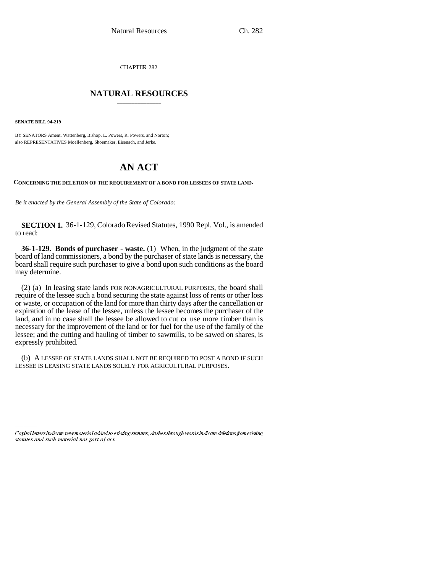CHAPTER 282

## \_\_\_\_\_\_\_\_\_\_\_\_\_\_\_ **NATURAL RESOURCES** \_\_\_\_\_\_\_\_\_\_\_\_\_\_\_

**SENATE BILL 94-219**

BY SENATORS Ament, Wattenberg, Bishop, L. Powers, R. Powers, and Norton; also REPRESENTATIVES Moellenberg, Shoemaker, Eisenach, and Jerke.

## **AN ACT**

**CONCERNING THE DELETION OF THE REQUIREMENT OF A BOND FOR LESSEES OF STATE LAND.**

*Be it enacted by the General Assembly of the State of Colorado:*

**SECTION 1.** 36-1-129, Colorado Revised Statutes, 1990 Repl. Vol., is amended to read:

**36-1-129. Bonds of purchaser - waste.** (1) When, in the judgment of the state board of land commissioners, a bond by the purchaser of state lands is necessary, the board shall require such purchaser to give a bond upon such conditions as the board may determine.

(2) (a) In leasing state lands FOR NONAGRICULTURAL PURPOSES, the board shall require of the lessee such a bond securing the state against loss of rents or other loss or waste, or occupation of the land for more than thirty days after the cancellation or expiration of the lease of the lessee, unless the lessee becomes the purchaser of the land, and in no case shall the lessee be allowed to cut or use more timber than is necessary for the improvement of the land or for fuel for the use of the family of the lessee; and the cutting and hauling of timber to sawmills, to be sawed on shares, is expressly prohibited.

LESSEE IS LEASING STATE LANDS SOLELY FOR AGRICULTURAL PURPOSES.(b) A LESSEE OF STATE LANDS SHALL NOT BE REQUIRED TO POST A BOND IF SUCH

Capital letters indicate new material added to existing statutes; dashes through words indicate deletions from existing statutes and such material not part of act.